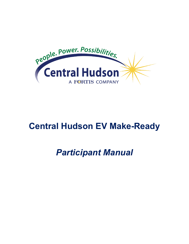

# **Central Hudson EV Make-Ready**

# *Participant Manual*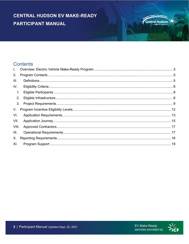#### **Central Hudson**

**Power. Possibiliti** 

#### **Contents**

| $\mathbf{L}$ |    |  |  |  |  |
|--------------|----|--|--|--|--|
| II.          |    |  |  |  |  |
| III.         |    |  |  |  |  |
| IV.          |    |  |  |  |  |
|              | 1. |  |  |  |  |
|              | 2. |  |  |  |  |
|              | 3. |  |  |  |  |
| V.           |    |  |  |  |  |
| VI.          |    |  |  |  |  |
| VII.         |    |  |  |  |  |
| VIII.        |    |  |  |  |  |
| IX.          |    |  |  |  |  |
| Х.           |    |  |  |  |  |
| XI.          |    |  |  |  |  |

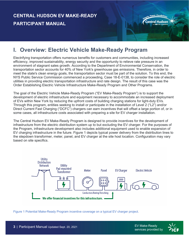

#### <span id="page-2-0"></span>**I. Overview: Electric Vehicle Make-Ready Program**

Electrifying transportation offers numerous benefits for customers and communities, including increased efficiency, improved sustainability, energy security and the opportunity to relieve rate pressure in an environment of stagnant sales growth. According to the Department of Environmental Conservation, the transportation sector accounts for 40% of New York's greenhouse gas emissions. Therefore, in order to meet the state's clean energy goals, the transportation sector must be part of the solution. To this end, the NYS Public Service Commission commenced a proceeding, Case 18-E-0138, to consider the role of electric utilities in providing electric transportation infrastructure and rate design. The result of this case was the Order Establishing Electric Vehicle Infrastructure Make-Ready Program and Other Programs.

The goal of the Electric Vehicle Make-Ready Program ("EV Make-Ready Program") is to support the development of electric infrastructure and equipment necessary to accommodate an increased deployment of EVs within New York by reducing the upfront costs of building charging stations for light-duty EVs. Through this program, entities seeking to install or participate in the installation of Level 2 ("L2") and/or Direct Current Fast Charging ("DCFC") chargers can earn incentives that will offset a large portion of, or in some cases, all infrastructure costs associated with preparing a site for EV charger installation.

The Central Hudson EV Make-Ready Program is designed to provide incentives for the development of infrastructure from the electric distribution system up to but excluding the EV charger. For the purposes of the Program, infrastructure development also includes additional equipment used to enable expansion of EV charging infrastructure in the future. Figure 1 depicts typical power delivery from the distribution lines to the stepdown transformer, meter, panel, and EV charger at the site host location. Configuration may vary based on site specifics.



Figure 1 Potential Make-Ready Program incentive coverage on a typical EV charger project.

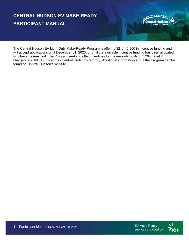power. Possibili **Central Hudson** 

<span id="page-3-0"></span>The Central Hudson EV Light-Duty Make-Ready Program is offering \$21,140,800 in incentive funding and will accept applications until December 31, 2025, or until the available incentive funding has been allocated, whichever comes first. The Program seeks to offer incentives for make-ready costs of 3,204 Level 2 chargers and 69 DCFCs across Central Hudson's territory. Additional information about the Program can be found on Central Hudson's website.

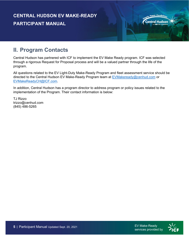

# **II. Program Contacts**

<span id="page-4-0"></span>Central Hudson has partnered with ICF to implement the EV Make Ready program. ICF was selected through a rigorous Request for Proposal process and will be a valued partner through the life of the program.

All questions related to the EV Light-Duty Make-Ready Program and fleet assessment service should be directed to the Central Hudson EV Make-Ready Program team at [EVMakeready@cenhud.com](mailto:EVMakeready@cenhud.com) or EVMakeReadyCH@ICF.com.

In addition, Central Hudson has a program director to address program or policy issues related to the implementation of the Program. Their contact information is below:

TJ Rizzo trizzo@cenhud.com (845) 486-5265



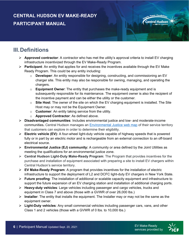

- **Approved contractor**: A contractor who has met the utility's approval criteria to install EV charging infrastructure incentivized through the EV Make-Ready Program.
- **Participant**: An entity that applies for and receives the incentives available through the EV Make Ready Program. This could be any entity including:
	- o **Developer**: An entity responsible for designing, constructing, and commissioning an EV charger site. This entity may also be responsible for owning, managing, and operating the chargers.
	- o **Equipment Owner**: The entity that purchases the make-ready equipment and is subsequently responsible for its maintenance. The equipment owner is also the recipient of the incentive payment and can be either the utility or the customer.
	- o **Site Host**: The owner of the site on which the EV charging equipment is installed. The Site Host may or may not be the Equipment Owner.
	- o **Customer**: An entity taking service from the utility.
	- o **Approved Contractor**: As defined above.
- **Disadvantaged communities**: Includes environmental justice and low- and moderate-income communities**.** Central Hudson manages an [Environmental Justice web map](https://gis.cenhud.com/gisportal/apps/webappviewer/index.html?id=fdc0384e5a9140b28f510838e9e238cf) of their service territory that customers can explore in order to determine their eligibility.
- **Electric vehicle (EV):** A four-wheel light-duty vehicle capable of highway speeds that is powered fully or in part by an electric motor and is rechargeable from an external connection to an off-board electrical source.
- **Environmental Justice (EJ) community:** A community or area defined by the Joint Utilities as meeting the qualifications for an environmental justice zone.
- **Central Hudson Light-Duty Make-Ready Program**: The Program that provides incentives for the purchase and installation of equipment associated with preparing a site to install EV chargers within Central Hudson's service territory.
- **EV Make-Ready Program**: A program that provides incentives for the installation of electric infrastructure to support the deployment of L2 and DCFC light-duty EV chargers in New York State.
- **Future proofing**: The installation of additional or scalable capacity equipment and infrastructure to support the future expansion of an EV charging station and installation of additional charging ports.
- **Heavy-duty vehicles**: Large vehicles including passenger and cargo vehicles, trucks and equipment in Class 7 and above (those with a GVWR of over 26,000 lbs.)
- **Installer**: The entity that installs the equipment. The Installer may or may not be the same as the equipment owner.
- **Light-Duty vehicles**: Any small commercial vehicles including passenger cars, vans, and other Class 1 and 2 vehicles (those with a GVWR of 0 lbs. to 10,000 lbs.)

Power. Possibil **Central Hudson** 

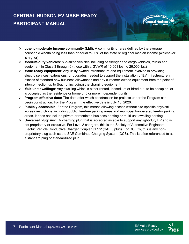- **Low-to-moderate income community (LMI):** A community or area defined by the average household wealth being less than or equal to 80% of the state or regional median income (whichever is higher).
- **Medium-duty vehicles**: Mid-sized vehicles including passenger and cargo vehicles, trucks and equipment in Class 3 through 6 (those with a GVWR of 10,001 lbs. to 26,000 lbs.)
- **Make-ready equipment**: Any utility-owned infrastructure and equipment involved in providing electric services, extensions, or upgrades needed to support the installation of EV infrastructure in excess of standard new business allowances and any customer-owned equipment from the point of interconnection up to (but not including) the charging equipment
- **Multiunit dwellings**: Any dwelling which is either rented, leased, let or hired out, to be occupied, or is occupied as the residence or home of 5 or more independent units.
- **Program effective date:** The date after which construction for projects under the Program can begin construction. For the Program, the effective date is July 16, 2020.
- **Publicly accessible**: For the Program, this means allowing access without site-specific physical access restrictions, including public, fee-free parking areas and municipality-operated fee-for parking areas. It does not include private or restricted business parking or multi-unit dwelling parking.
- <span id="page-6-0"></span> **Universal plug:** Any EV charging plug that is accepted as able to support any light-duty EV and is not proprietary or exclusive. For Level 2 chargers, this is the Society of Automotive Engineers Electric Vehicle Conductive Charger Coupler J1772 (SAE J plug). For DCFCs, this is any nonproprietary plug such as the SAE Combined Charging System (CCS). This is often referenced to as a standard plug or standardized plug.

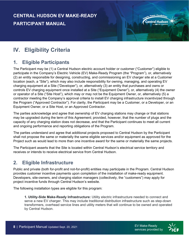#### power. Possibili **Central Hudson**

# **IV. Eligibility Criteria**

#### <span id="page-7-0"></span>**1. Eligible Participants**

The Participant may be (1) a Central Hudson electric account holder or customer ("Customer") eligible to participate in the Company's Electric Vehicle (EV) Make-Ready Program (the "Program"), or, alternatively (2) an entity responsible for designing, constructing, and commissioning an EV charger site at a Customer location (each, a "Site"), which may also include responsibility for owning, managing, and operating EV charging equipment at a Site ("Developer"), or, alternatively (3) an entity that purchases and owns or controls EV charging equipment once installed at a Site ("Equipment Owner"), or, alternatively (4) the owner or operator of a Site ("Site Host"), which may or may not be the Equipment Owner, or, alternatively (5) a contractor meeting the Company's approval criteria to install EV charging infrastructure incentivized through the Program ("Approved Contractor"). For clarity, the Participant may be a Customer, or a Developer, or an Equipment Owner, or a Site Host, or an Approved Contractor.

The parties acknowledge and agree that ownership of EV charging stations may change or that stations may be upgraded during the term of this Agreement; provided, however, that the number of plugs and the capacity of any charging station does not decrease, and that the Participant continues to meet all current and ongoing performance and reporting obligations of the Program.

The parties understand and agree that additional projects proposed to Central Hudson by the Participant shall not propose the same or materially the same eligible services and/or equipment as approved for the Project such as would lead to more than one incentive award for the same or materially the same projects.

The Participant asserts that the Site is located within Central Hudson's electrical service territory and receives or intends to receive electrical service from Central Hudson.

#### <span id="page-7-1"></span>**2. Eligible Infrastructure**

Public and private (both for-profit and not-for-profit) entities may participate in the Program. Central Hudson provides customer incentive payments upon completion of the installation of make-ready equipment. Developers, site-owners, and charging station managers (collectively, the "customers") may apply for project incentive funds through Central Hudson's website.

The following installation types are eligible for this program:

**1. Utility-Side Make-Ready Infrastructure:** Utility electric infrastructure needed to connect and serve a new EV charger. This may include traditional distribution infrastructure such as step-down transformers, overhead service lines and utility meters that will continue to be owned and operated by Central Hudson.

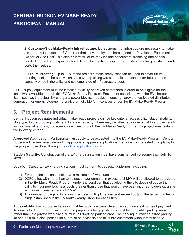**2. Customer-Side Make-Ready Infrastructure:** EV equipment or infrastructure necessary to make a site ready to accept an EV charger that is owned by the charging station Developer, Equipment, Owner, or Site Host. This electric infrastructure may include conductors, trenching and panels needed for the EV charging stations. Note: the eligible equipment excludes the charging station and ports themselves.

3**. Future Proofing:** Up to 10% of the project's make-ready cost can be used to cover future proofing costs to the site, which can cover up-sizing wires, panels and conduit for future added capacity on both the utility and customer side of infrastructure costs.

<span id="page-8-0"></span>All EV supply equipment must be installed by utility-approved contractors in order to be eligible for the incentives available through this EV Make-Ready Program. Equipment associated with the EV charger itself, such as the actual EV chargers, power blocks, modules, mounting hardware, co-located distributed generation, or energy storage material, are ineligible for incentives under the EV Make-Ready Program.

#### **3. Project Requirements**

Central Hudson evaluates individual make-ready projects on five key criteria: accessibility, station maturity, plug type, future proofing costs, and location capacity. There may be other factors external to a project such as total available funds, To receive incentives through the EV Make-Ready Program, a project must satisfy the following criteria:

**Approved Application:** Participants must apply to be accepted into the EV Make-Ready Program. Central Hudson will review, evaluate and, if appropriate, approve applications. Participants interested in applying to the program can do so through [the online application portal.](https://ch-evmakeready.programprocessing.com/content/Home)

**Station Maturity:** Construction of the EV charging station must have commenced no sooner than July 16, 2020.

**Location Capacity:** EV charging stations must conform to capacity guidelines, including:

- 1) EV charging stations must have a minimum of two plugs.
- 2) DCFC sites with more than ten plugs and/or demand in excess of 2 MW will be allowed to participate in the EV Make-Ready Program under the condition that developing the site does not cause the utility to incur new business costs greater than those that would have been incurred to develop a site with a maximum demand of 2 MW.
- 3) The number of plugs at locations in excess of 10 plugs shall not exceed 50% of the target number of plugs established in the EV Make-Ready Order for each utility.

**Accessibility**: Each proposed station must be publicly accessible and accept universal forms of payment. To qualify for the maximum incentive, the proposed charging stations must be in a public parking area rather than in a private workplace or multiunit dwelling parking area. The parking lot may be a free parking lot or a paid municipal parking lot but must be accessible to all public customers without restriction. A

power. Possibil

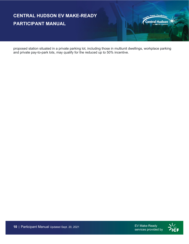

proposed station situated in a private parking lot, including those in multiunit dwellings, workplace parking and private pay-to-park lots, may qualify for the reduced up to 50% incentive.



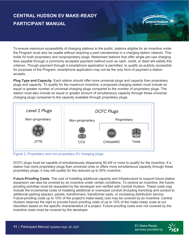To ensure maximum accessibility of charging stations to the public, stations eligible for an incentive under the Program must also be usable without requiring a paid membership in a charging station network. This holds for both proprietary and nonproprietary plugs. Networked stations that offer single per-use charging fees payable through a commonly accepted payment method such as cash, credit, or debit will satisfy this criterion. Though payment through a smartphone application is permitted, to qualify as publicly accessible for purposes of the Program, smartphone application may not be the only form of payment a station accepts.

**Plug Type and Capacity**: Each station should offer more universal plugs and capacity than proprietary plugs and capacity. To qualify for the maximum incentive, a proposed charging station must include an equal or greater number of universal charging plugs compared to the number of proprietary plugs. The station must also include an equal or greater amount of simultaneous capacity through these universal charging plugs compared to the capacity available through proprietary plugs.



Figure 2. Proprietary and non-proprietary EV charging plugs.

DCFC plugs must be capable of simultaneously dispensing 50 kW or more to qualify for the incentive. If a station has more proprietary plugs than universal ones or offers more simultaneous capacity through these proprietary plugs, it may still qualify for the reduced up to 50% incentive.

**Future-Proofing Costs**: The cost of installing additional capacity and infrastructure to support future station expansion can also be covered by an incentive under certain conditions. To receive an incentive, the futureproofing activities must be requested by the developer and verified with Central Hudson. These costs may include the incremental costs of installing additional or oversized conduit (including trenching and conduit to additional parking spaces), panels, transformers, transformer pads, or increasing distribution service. Future-proofing costs up to 10% of the project's make-ready cost may be covered by an incentive. Central Hudson reserves the right to provide future proofing costs of up to 10% of the make ready costs at our discretion based on the specific characteristics of a project. Future-proofing costs over not covered by the incentive costs must be covered by the developer.

power. Possibil

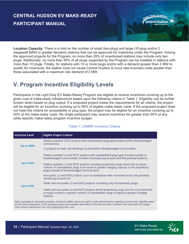**Location Capacity**: There is a limit on the number of small (two-plug) and large (10-plug and/or 2 megawatt [MW] or greater demand) stations that can be approved for incentives under the Program. Among the approved projects for the Program, no more than 25% of incentivized stations may include only two plugs. Additionally, no more than 50% of all plugs supported by the Program can be installed in stations with more than 10 plugs. Finally, for stations with 10 or more plugs and/or with a demand greater than 2 MW to qualify for incentives, the station must not cause Central Hudson to incur new business costs greater than those associated with a maximum site demand of 2 MW.

#### **V. Program Incentive Eligibility Levels**

Participants in the Light Duty EV Make-Ready Program are eligible to receive incentives covering up to the given cost of make-ready infrastructure based upon the following criteria in Table 1. Eligibility can be further broken down based on plug output. If a proposed project meets the requirements for all criteria, the project will be eligible for an incentive covering up to 90% of eligible make-ready costs. If the proposed project does not meet the criteria for accessibility or plug type, the project may be eligible for an incentive covering up to 50% of the make-ready costs. No single participant may receive incentives for greater than 50% of any utility-specific make-ready program incentive budget.

| <b>Incentive Level</b>                                                                                                                                 | <b>Eligible Project Criteria</b>                                                                                                                                                                                                    |  |  |  |  |
|--------------------------------------------------------------------------------------------------------------------------------------------------------|-------------------------------------------------------------------------------------------------------------------------------------------------------------------------------------------------------------------------------------|--|--|--|--|
| <b>Up to 100%</b>                                                                                                                                      | Publicly available DCFC projects with standardized plug types located within Disadvantaged<br>Communities.                                                                                                                          |  |  |  |  |
|                                                                                                                                                        | L2 projects at multi-unit dwellings located within Disadvantaged Communities.                                                                                                                                                       |  |  |  |  |
|                                                                                                                                                        | Publicly available L2 and DCFC projects with standardized plug types located outside of<br>Disadvantaged Communities. Includes municipal pay-to-park and free parking locations.                                                    |  |  |  |  |
| <b>Up to 90%</b>                                                                                                                                       | Publicly available L2 and DCFC projects including proprietary plugs must have an equal<br>number of standardized plugs of an equal or greater charging capacity to the proprietary<br>plugs (outside of Disadvantaged Communities). |  |  |  |  |
|                                                                                                                                                        | Non-public L2 and DCFC projects, such as workplaces with restricted access and privately-<br>owned pay-to-park lots.                                                                                                                |  |  |  |  |
| <b>Up to 50%</b>                                                                                                                                       | Public and non-public L2 and DCFC projects consisting only of proprietary plugs.                                                                                                                                                    |  |  |  |  |
|                                                                                                                                                        | Public and non-public L2 and DCFC projects where proprietary plugs are not co-located with<br>an equal number or greater number of standardized plugs of equal or greater charging<br>capacity.                                     |  |  |  |  |
| Table is provided for illustrative purposes, Individual utilities resense the right to make determinations regarding incentive level eligibility hased |                                                                                                                                                                                                                                     |  |  |  |  |

#### <span id="page-11-0"></span>Table 1: LDMRP Incentive Criteria

on their best interpretation of the proposed project and available information at the time of review. Customers are responsible for charger costs, annual maintenance cost, and ongoing electricity costs.

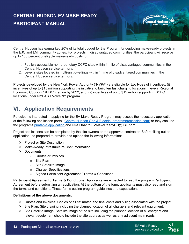Central Hudson has earmarked 20% of its total budget for the Program for deploying make-ready projects in the EJC and LMI community zones. For projects in disadvantaged communities, the participant will receive up to 100 percent of eligible make-ready costs for:

- 1. Publicly accessible non-proprietary DCFC sites within 1 mile of disadvantaged communities in the Central Hudson service territory.
- <span id="page-12-0"></span>2. Level 2 sites located in multi-unit dwellings within 1 mile of disadvantaged communities in the Central Hudson service territory.

Projects developed by the New York Power Authority ("NYPA") are eligible for two types of incentives: (i) incentives of up to \$15 million supporting the initiative to build ten fast charging locations in every Regional Economic Council ("REDC") region by 2022; and, (ii) incentives of up to \$15 million supporting DCFC locations under NYPA's EVolve NY program.

# **VI. Application Requirements**

Participants interested in applying for the EV Make-Ready Program may access the necessary application at the following application portal: [Central Hudson Gas & Electric \(programprocessing.com\)](https://ch-evmakeready.programprocessing.com/content/Home) or they can use the programs [printable application](https://www.cenhud.com/globalassets/pdf/my-energy/evs/l2-and-dcfc-make-ready-application-2020.pdf) and email that to EVMakeReadyCH@ICF.com.

Project applications can be completed by the site owners or the approved contractor. Before filling out an application, be prepared to provide and upload the following information:

- $\triangleright$  Project or Site Description
- $\triangleright$  Make-Ready Infrastructure Cost Information
- $\triangleright$  Documents
	- o Quotes or Invoices
	- o Site Plan
	- o Site Satellite Image
	- o Charger Specifications
	- o Signed Participant Agreement / Terms & Conditions

**Participant Agreement / Terms & Conditions:** Applicants are expected to read the program Participant Agreement before submitting an application. At the bottom of the form, applicants must also read and sign the terms and conditions. These forms outline program guidelines and expectations.

#### **Definitions of the above documents:**

- $\triangleright$  Quotes and Invoices: Copies of all estimated and final costs and billing associated with the project.
- $\triangleright$  Site Plan: Site drawing including the planned location of all chargers and relevant equipment.
- $\triangleright$  Site Satellite Image: Satellite image of the site including the planned location of all chargers and relevant equipment should include the site address as well as any adjacent main roads.

power. Possibili

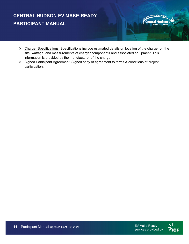- ▶ Charger Specifications: Specifications include estimated details on location of the charger on the site, wattage, and measurements of charger components and associated equipment. This information is provided by the manufacturer of the charger.
- <span id="page-13-0"></span>Signed Participant Agreement: Signed copy of agreement to terms & conditions of project participation.

power. Possibili

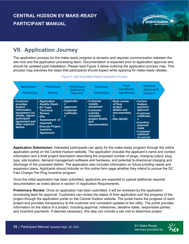

# **VII. Application Journey**

The application process for the make ready program is dynamic and requires communication between the site host and the application processing team. Documentation is expected prior to application approval and should be updated post-installation. Please read Figure 3 below outlining the application process map. This process map previews the steps that participants should expect while applying for make-ready rebates.

| <b>Application</b><br><b>Submission</b>                                                                                                                  | <b>Preliminary</b><br><b>Review</b>                                                                                                                                                         | Preliminary<br><b>Application</b><br><b>Approval</b>          | <b>Customer</b><br><b>Installation</b>                                                                                          | Post-<br><b>Installation</b><br><b>App Review</b>                                      | <b>Incentive</b><br><b>Approval &amp;</b><br>Payment                                                                                                       |  |
|----------------------------------------------------------------------------------------------------------------------------------------------------------|---------------------------------------------------------------------------------------------------------------------------------------------------------------------------------------------|---------------------------------------------------------------|---------------------------------------------------------------------------------------------------------------------------------|----------------------------------------------------------------------------------------|------------------------------------------------------------------------------------------------------------------------------------------------------------|--|
| <b>•Customer</b><br>provides<br>project<br>information,<br>equipment cut<br>sheets, signed<br>participant<br>agreement and<br>other required<br>details. | • Application<br><b>Quality Check</b><br>∙EV Team<br><b>Technical</b><br><b>Review</b><br>.Site<br>Assessment (if<br>required)<br>• Execute Project<br><b>Incentive</b><br><b>Agreement</b> | •Applicatio<br>n<br>approved<br>•Customer<br>notificatio<br>n | •Customer<br><i>installs</i><br>equipment<br>•Customer<br><b>submits</b><br>complete<br>project details<br>and<br>documentation | •Desk review<br>of final<br>project<br>details and<br>documentatio<br>n<br>·Site QA/QC | •Central<br><b>Hudson</b><br>payment<br>approval<br>•Customer<br>notificatio<br>n<br>•Incentive<br>payment<br>made<br>•Customer<br>satisfacti<br>on survey |  |

Figure 3: Light Duty Make-Ready Application Process

**Application Submission:** Interested participants can apply for the make-ready program through the online application portal on the Central Hudson website. The application includes the applicant's name and contact information and a brief project description describing the proposed number of plugs, charging output, plug type, site location, demand management software and hardware, and potential bi-directional charging and discharge of the proposed station. The application also includes information on future proofing needs and expansion plans. Applicants should indicate on this online form page whether they intend to pursue the DC Fast Charger Per-Plug Incentive program.

Once the initial application has been submitted, applicants are expected to upload additional required documentation as noted above in section VI Application Requirements.

**Preliminary Review**: Once an application has been submitted, it will be reviewed by the application processing team for approval. Customers can review the status of their application and the progress of the project through the application portal on the Central Hudson website. The portal tracks the progress of each project and provides transparency to the customer and consistent updates to the utility. The portal provides information on the status of a project, including approval, milestones, deadline dates, responsible parties, and incentive payments. If deemed necessary, this step can include a site visit to determine project

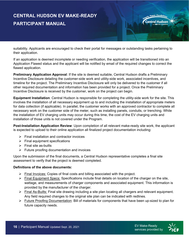

suitability. Applicants are encouraged to check their portal for messages or outstanding tasks pertaining to their application.

If an application is deemed incomplete or needing verification, the application will be transitioned into an Application Flawed status and the applicant will be notified by email of the required changes to correct the flawed application.

**Preliminary Application Approval**: If the site is deemed suitable, Central Hudson drafts a Preliminary Incentive Disclosure detailing the customer-side work and utility-side work, associated incentives, and timeline for the project. The Preliminary Incentive Disclosure will only be delivered to the customer if all other required documentation and information has been provided for a project. Once the Preliminary Incentive Disclosure is received by the customer, work on the project can begin.

**Equipment Installation**: Central Hudson is responsible for completing the utility-side work for the site. This involves the installation of all necessary equipment up to and including the installation of appropriate meters for data collection (if applicable). In parallel, the customer works with an approved contractor to complete all necessary work on the customer side of the meter, such as installing panels, conduits, or trenching. While the installation of EV charging units may occur during this time, the cost of the EV charging units and installation of those units is not covered under the Program.

**Post-Installation Application Review**: Upon completion of all relevant make-ready site work, the applicant is expected to upload to their online application all finalized project documentation including:

- $\triangleright$  Final installation and contractor invoices
- $\triangleright$  Final equipment specifications
- $\triangleright$  Final site as-builts
- $\triangleright$  Future proofing documentation and invoices

Upon the submission of the final documents, a Central Hudson representative completes a final site assessment to verify that the project is deemed completed.

#### **Definitions of the above documents:**

- $\triangleright$  Final Invoices: Copies of final costs and billing associated with the project.
- $\triangleright$  Final Equipment Specs: Specifications include final details on location of the charger on the site, wattage, and measurements of charger components and associated equipment. This information is provided by the manufacturer of the charger.
- $\triangleright$  Final As-Builts: Final site drawing including a site plan locating all chargers and relevant equipment. Any field required changes to the original site plan can be indicated with redlines.
- $\triangleright$  Future Proofing Documentation: Bill of materials for components that have been up-sized to plan for future capacity needs.

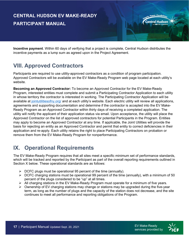**Incentive payment**. Within 60 days of verifying that a project is complete, Central Hudson distributes the incentive payments as a lump sum as agreed upon in the Project Agreement.

#### **VIII. Approved Contractors**

Participants are required to use utility-approved contractors as a condition of program participation. Approved Contractors will be available on the EV Make-Ready Program web page located at each utility's website.

**Becoming an Approved Contractor:** To become an Approved Contractor for the EV Make-Ready Program, interested entities must complete and submit a Participating Contractor Application to each utility in whose territory the contractor is interested in working. The Participating Contractor Application will be available at [jointutilitiesofny.org/](https://jointutilitiesofny.org/node/add/approved_contractors) and at each utility's website. Each electric utility will review all applications, agreements and supporting documentation and determine if the contractor is accepted into the EV Make-Ready Program as an Approved Contractor within thirty days of receiving a completed application. The utility will notify the applicant of their application status via email. Upon acceptance, the utility will place the Approved Contractor on the list of approved contractors for potential Participants in the Program. Entities may apply to become an Approved Contractor at any time. If applicable, the Joint Utilities will provide the basis for rejecting an entity as an Approved Contractor and permit that entity to correct deficiencies in their application and re-apply. Each utility retains the right to place Participating Contractors on probation or remove them from the EV Make-Ready Program for nonperformance.

#### <span id="page-16-1"></span>**IX. Operational Requirements**

The EV Make-Ready Program requires that all sites meet a specific minimum set of performance standards, which will be tracked and reported by the Participant as part of the overall reporting requirements outlined in Section X below. These operational standards are as follows:

- $\triangleright$  DCFC plugs must be operational 95 percent of the time (annually).
- $\triangleright$  DCFC charging stations must be operational 99 percent of the time (annually), with a minimum of 50 percent of the plugs considered to be "up" at all times.
- $\triangleright$  All charging stations in the EV Make-Ready Program must operate for a minimum of five years.
- <span id="page-16-2"></span> $\triangleright$  Ownership of EV charging stations may change or stations may be upgraded during the five-year term, as long as the number of plugs and the capacity of the station does not decrease, and the site continues to meet all performance and reporting obligations of the Program.

<span id="page-16-0"></span>power. Possibili

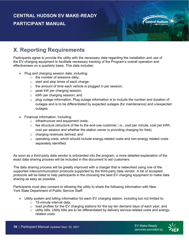

Participants agree to provide the utility with the necessary data regarding the installation and use of the EV charging equipment to facilitate necessary tracking of the Program's overall operation and effectiveness on a quarterly basis. This data includes:

- $\triangleright$  Plug and charging session data, including:
	- $\circ$  the number of sessions daily;
	- o start and stop times of each charge;
	- $\circ$  the amount of time each vehicle is plugged in per session;
	- o peak kW per charging session;
	- o kWh per charging session; and
	- o plug outage information. Plug outage information is to include the number and duration of outages and is to be differentiated by expected outages (for maintenance) and unexpected outages.
- $\triangleright$  Financial information, including:
	- o infrastructure and equipment costs;
	- $\circ$  fee structure (structure of fee to the end-use customer, i.e., cost per minute, cost per kWh, cost per session and whether the station owner is providing charging for free);
	- o charging revenues derived; and
	- $\circ$  operating costs, which should include energy-related costs and non-energy related costs separately identified.

As soon as a third-party data vendor is onboarded into the program, a more detailed explanation of the exact data sharing process will be included in this document to aid customers.

The data sharing process will be greatly improved with a charger that is networked using one of the supported intercommunication protocols supported by the third-party data vendor. A list of accepted protocols will be listed to help participants in the choosing the best EV charging equipment to make data sharing as easy as possible.

Participants must also consent to allowing the utility to share the following information with New York State Department of Public Service Staff:

- $\triangleright$  Utility system and billing information for each EV charging station, including but not limited to:
	- o 15-minute interval data;
	- $\circ$  load profiles for the EV charging stations for the top ten demand days of each year; and<br> $\circ$  utility bills. Utility bills are to be differentiated by delivery service-related costs and energ
	- utility bills. Utility bills are to be differentiated by delivery service-related costs and energyrelated costs.

power. Possibil.